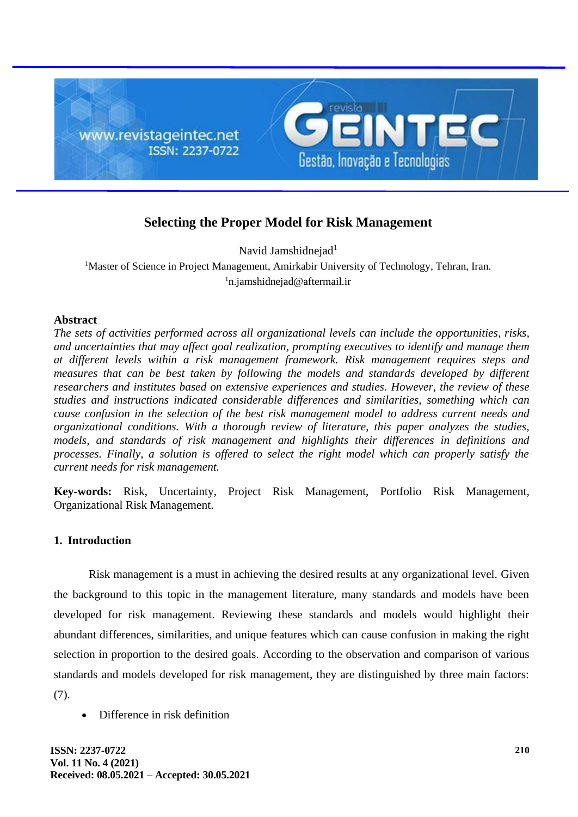

# **Selecting the Proper Model for Risk Management**

Navid Jamshidnejad<sup>1</sup>

<sup>1</sup>Master of Science in Project Management, Amirkabir University of Technology, Tehran, Iran. <sup>1</sup>n.jamshidnejad@aftermail.ir

## **Abstract**

*The sets of activities performed across all organizational levels can include the opportunities, risks, and uncertainties that may affect goal realization, prompting executives to identify and manage them at different levels within a risk management framework. Risk management requires steps and measures that can be best taken by following the models and standards developed by different researchers and institutes based on extensive experiences and studies. However, the review of these studies and instructions indicated considerable differences and similarities, something which can cause confusion in the selection of the best risk management model to address current needs and organizational conditions. With a thorough review of literature, this paper analyzes the studies, models, and standards of risk management and highlights their differences in definitions and processes. Finally, a solution is offered to select the right model which can properly satisfy the current needs for risk management.*

**Key-words:** Risk, Uncertainty, Project Risk Management, Portfolio Risk Management, Organizational Risk Management.

## **1. Introduction**

Risk management is a must in achieving the desired results at any organizational level. Given the background to this topic in the management literature, many standards and models have been developed for risk management. Reviewing these standards and models would highlight their abundant differences, similarities, and unique features which can cause confusion in making the right selection in proportion to the desired goals. According to the observation and comparison of various standards and models developed for risk management, they are distinguished by three main factors: (7).

• Difference in risk definition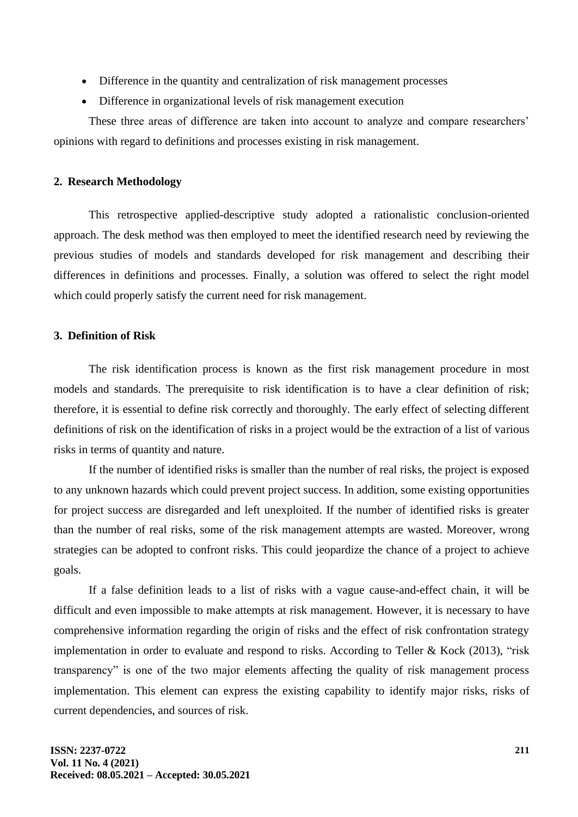- Difference in the quantity and centralization of risk management processes
- Difference in organizational levels of risk management execution

These three areas of difference are taken into account to analyze and compare researchers' opinions with regard to definitions and processes existing in risk management.

#### **2. Research Methodology**

This retrospective applied-descriptive study adopted a rationalistic conclusion-oriented approach. The desk method was then employed to meet the identified research need by reviewing the previous studies of models and standards developed for risk management and describing their differences in definitions and processes. Finally, a solution was offered to select the right model which could properly satisfy the current need for risk management.

## **3. Definition of Risk**

The risk identification process is known as the first risk management procedure in most models and standards. The prerequisite to risk identification is to have a clear definition of risk; therefore, it is essential to define risk correctly and thoroughly. The early effect of selecting different definitions of risk on the identification of risks in a project would be the extraction of a list of various risks in terms of quantity and nature.

If the number of identified risks is smaller than the number of real risks, the project is exposed to any unknown hazards which could prevent project success. In addition, some existing opportunities for project success are disregarded and left unexploited. If the number of identified risks is greater than the number of real risks, some of the risk management attempts are wasted. Moreover, wrong strategies can be adopted to confront risks. This could jeopardize the chance of a project to achieve goals.

If a false definition leads to a list of risks with a vague cause-and-effect chain, it will be difficult and even impossible to make attempts at risk management. However, it is necessary to have comprehensive information regarding the origin of risks and the effect of risk confrontation strategy implementation in order to evaluate and respond to risks. According to Teller & Kock (2013), "risk transparency" is one of the two major elements affecting the quality of risk management process implementation. This element can express the existing capability to identify major risks, risks of current dependencies, and sources of risk.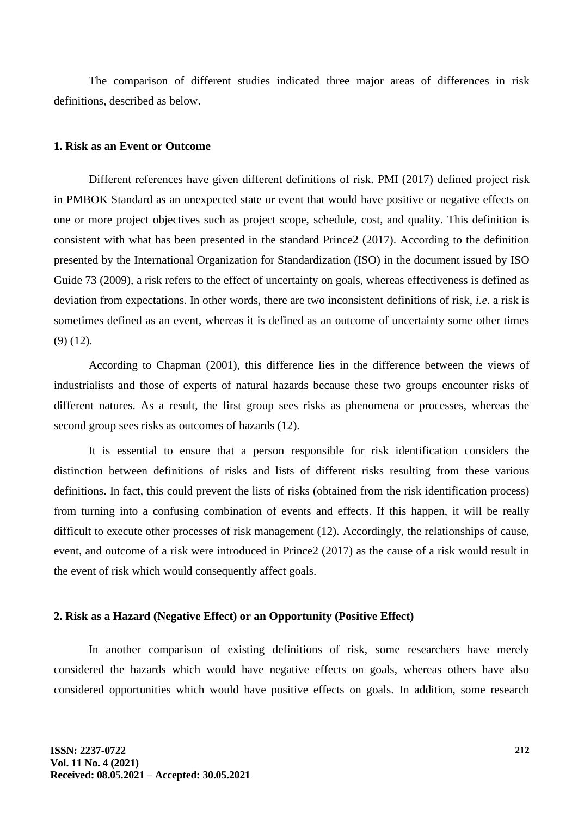The comparison of different studies indicated three major areas of differences in risk definitions, described as below.

## **1. Risk as an Event or Outcome**

Different references have given different definitions of risk. PMI (2017) defined project risk in PMBOK Standard as an unexpected state or event that would have positive or negative effects on one or more project objectives such as project scope, schedule, cost, and quality. This definition is consistent with what has been presented in the standard Prince2 (2017). According to the definition presented by the International Organization for Standardization (ISO) in the document issued by ISO Guide 73 (2009), a risk refers to the effect of uncertainty on goals, whereas effectiveness is defined as deviation from expectations. In other words, there are two inconsistent definitions of risk, *i.e.* a risk is sometimes defined as an event, whereas it is defined as an outcome of uncertainty some other times (9) (12).

According to Chapman (2001), this difference lies in the difference between the views of industrialists and those of experts of natural hazards because these two groups encounter risks of different natures. As a result, the first group sees risks as phenomena or processes, whereas the second group sees risks as outcomes of hazards (12).

It is essential to ensure that a person responsible for risk identification considers the distinction between definitions of risks and lists of different risks resulting from these various definitions. In fact, this could prevent the lists of risks (obtained from the risk identification process) from turning into a confusing combination of events and effects. If this happen, it will be really difficult to execute other processes of risk management (12). Accordingly, the relationships of cause, event, and outcome of a risk were introduced in Prince2 (2017) as the cause of a risk would result in the event of risk which would consequently affect goals.

#### **2. Risk as a Hazard (Negative Effect) or an Opportunity (Positive Effect)**

In another comparison of existing definitions of risk, some researchers have merely considered the hazards which would have negative effects on goals, whereas others have also considered opportunities which would have positive effects on goals. In addition, some research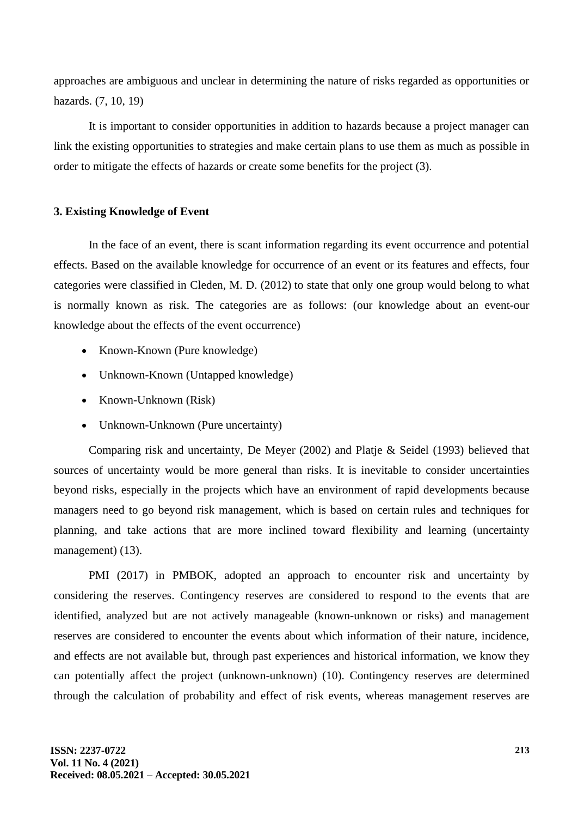approaches are ambiguous and unclear in determining the nature of risks regarded as opportunities or hazards. (7, 10, 19)

It is important to consider opportunities in addition to hazards because a project manager can link the existing opportunities to strategies and make certain plans to use them as much as possible in order to mitigate the effects of hazards or create some benefits for the project (3).

#### **3. Existing Knowledge of Event**

In the face of an event, there is scant information regarding its event occurrence and potential effects. Based on the available knowledge for occurrence of an event or its features and effects, four categories were classified in Cleden, M. D. (2012) to state that only one group would belong to what is normally known as risk. The categories are as follows: (our knowledge about an event-our knowledge about the effects of the event occurrence)

- Known-Known (Pure knowledge)
- Unknown-Known (Untapped knowledge)
- Known-Unknown (Risk)
- Unknown-Unknown (Pure uncertainty)

Comparing risk and uncertainty, De Meyer (2002) and Platje & Seidel (1993) believed that sources of uncertainty would be more general than risks. It is inevitable to consider uncertainties beyond risks, especially in the projects which have an environment of rapid developments because managers need to go beyond risk management, which is based on certain rules and techniques for planning, and take actions that are more inclined toward flexibility and learning (uncertainty management) (13).

PMI (2017) in PMBOK, adopted an approach to encounter risk and uncertainty by considering the reserves. Contingency reserves are considered to respond to the events that are identified, analyzed but are not actively manageable (known-unknown or risks) and management reserves are considered to encounter the events about which information of their nature, incidence, and effects are not available but, through past experiences and historical information, we know they can potentially affect the project (unknown-unknown) (10). Contingency reserves are determined through the calculation of probability and effect of risk events, whereas management reserves are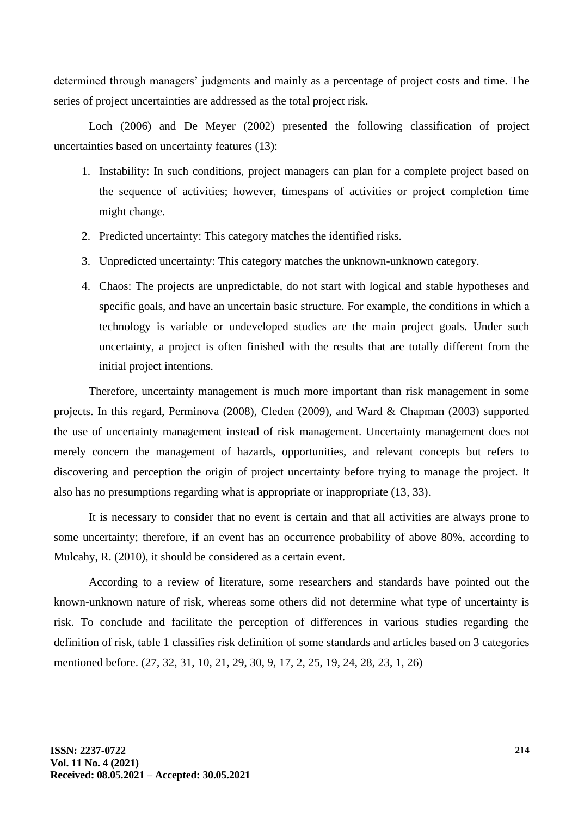determined through managers' judgments and mainly as a percentage of project costs and time. The series of project uncertainties are addressed as the total project risk.

Loch (2006) and De Meyer (2002) presented the following classification of project uncertainties based on uncertainty features (13):

- 1. Instability: In such conditions, project managers can plan for a complete project based on the sequence of activities; however, timespans of activities or project completion time might change.
- 2. Predicted uncertainty: This category matches the identified risks.
- 3. Unpredicted uncertainty: This category matches the unknown-unknown category.
- 4. Chaos: The projects are unpredictable, do not start with logical and stable hypotheses and specific goals, and have an uncertain basic structure. For example, the conditions in which a technology is variable or undeveloped studies are the main project goals. Under such uncertainty, a project is often finished with the results that are totally different from the initial project intentions.

Therefore, uncertainty management is much more important than risk management in some projects. In this regard, Perminova (2008), Cleden (2009), and Ward & Chapman (2003) supported the use of uncertainty management instead of risk management. Uncertainty management does not merely concern the management of hazards, opportunities, and relevant concepts but refers to discovering and perception the origin of project uncertainty before trying to manage the project. It also has no presumptions regarding what is appropriate or inappropriate (13, 33).

It is necessary to consider that no event is certain and that all activities are always prone to some uncertainty; therefore, if an event has an occurrence probability of above 80%, according to Mulcahy, R. (2010), it should be considered as a certain event.

According to a review of literature, some researchers and standards have pointed out the known-unknown nature of risk, whereas some others did not determine what type of uncertainty is risk. To conclude and facilitate the perception of differences in various studies regarding the definition of risk, table 1 classifies risk definition of some standards and articles based on 3 categories mentioned before. (27, 32, 31, 10, 21, 29, 30, 9, 17, 2, 25, 19, 24, 28, 23, 1, 26)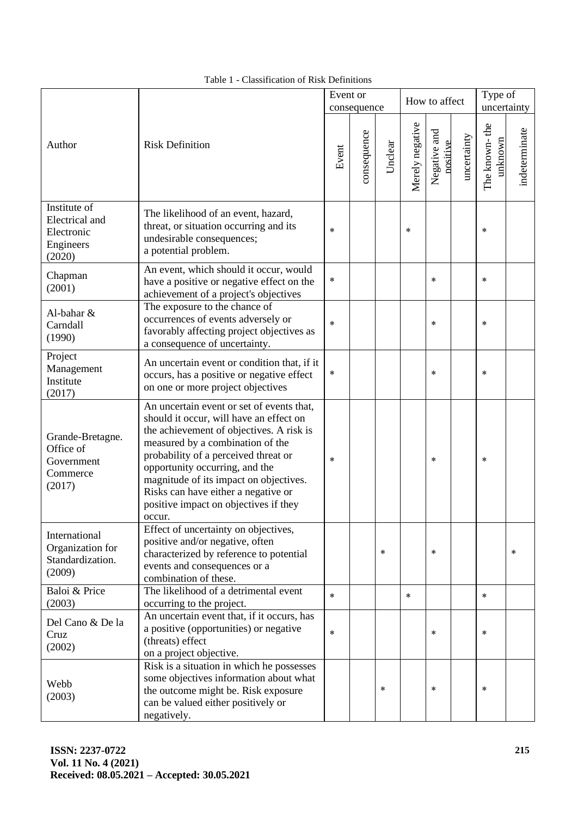|                                                                     |                                                                                                                                                                                                                                                                                                                                                                                    |        | Event or<br>consequence |         |                 | How to affect            |             | Type of<br>uncertainty   |               |
|---------------------------------------------------------------------|------------------------------------------------------------------------------------------------------------------------------------------------------------------------------------------------------------------------------------------------------------------------------------------------------------------------------------------------------------------------------------|--------|-------------------------|---------|-----------------|--------------------------|-------------|--------------------------|---------------|
| Author                                                              | <b>Risk Definition</b>                                                                                                                                                                                                                                                                                                                                                             |        | consequence             | Unclear | Merely negative | Negative and<br>positive | uncertainty | The known-the<br>unknown | indeterminate |
| Institute of<br>Electrical and<br>Electronic<br>Engineers<br>(2020) | The likelihood of an event, hazard,<br>threat, or situation occurring and its<br>undesirable consequences;<br>a potential problem.                                                                                                                                                                                                                                                 | $\ast$ |                         |         | $\ast$          |                          |             | $\ast$                   |               |
| Chapman<br>(2001)                                                   | An event, which should it occur, would<br>have a positive or negative effect on the<br>achievement of a project's objectives                                                                                                                                                                                                                                                       | $\ast$ |                         |         |                 | $\ast$                   |             | $\ast$                   |               |
| Al-bahar &<br>Carndall<br>(1990)                                    | The exposure to the chance of<br>occurrences of events adversely or<br>favorably affecting project objectives as<br>a consequence of uncertainty.                                                                                                                                                                                                                                  | $\ast$ |                         |         |                 | $\ast$                   |             | $\ast$                   |               |
| Project<br>Management<br>Institute<br>(2017)                        | An uncertain event or condition that, if it<br>occurs, has a positive or negative effect<br>on one or more project objectives                                                                                                                                                                                                                                                      | $\ast$ |                         |         |                 | $\ast$                   |             | $\ast$                   |               |
| Grande-Bretagne.<br>Office of<br>Government<br>Commerce<br>(2017)   | An uncertain event or set of events that,<br>should it occur, will have an effect on<br>the achievement of objectives. A risk is<br>measured by a combination of the<br>probability of a perceived threat or<br>opportunity occurring, and the<br>magnitude of its impact on objectives.<br>Risks can have either a negative or<br>positive impact on objectives if they<br>occur. | $\ast$ |                         |         |                 | $\ast$                   |             | $\ast$                   |               |
| International<br>Organization for<br>Standardization.<br>(2009)     | Effect of uncertainty on objectives,<br>positive and/or negative, often<br>characterized by reference to potential<br>events and consequences or a<br>combination of these.                                                                                                                                                                                                        |        |                         | $\ast$  |                 | $\ast$                   |             |                          | $\ast$        |
| Baloi & Price<br>(2003)                                             | The likelihood of a detrimental event<br>occurring to the project.                                                                                                                                                                                                                                                                                                                 | $\ast$ |                         |         | $\ast$          |                          |             | $\ast$                   |               |
| Del Cano & De la<br>Cruz<br>(2002)                                  | An uncertain event that, if it occurs, has<br>a positive (opportunities) or negative<br>(threats) effect<br>on a project objective.                                                                                                                                                                                                                                                | $\ast$ |                         |         |                 | $\ast$                   |             | $\ast$                   |               |
| Webb<br>(2003)                                                      | Risk is a situation in which he possesses<br>some objectives information about what<br>the outcome might be. Risk exposure<br>can be valued either positively or<br>negatively.                                                                                                                                                                                                    |        |                         | $\ast$  |                 | $\ast$                   |             | *                        |               |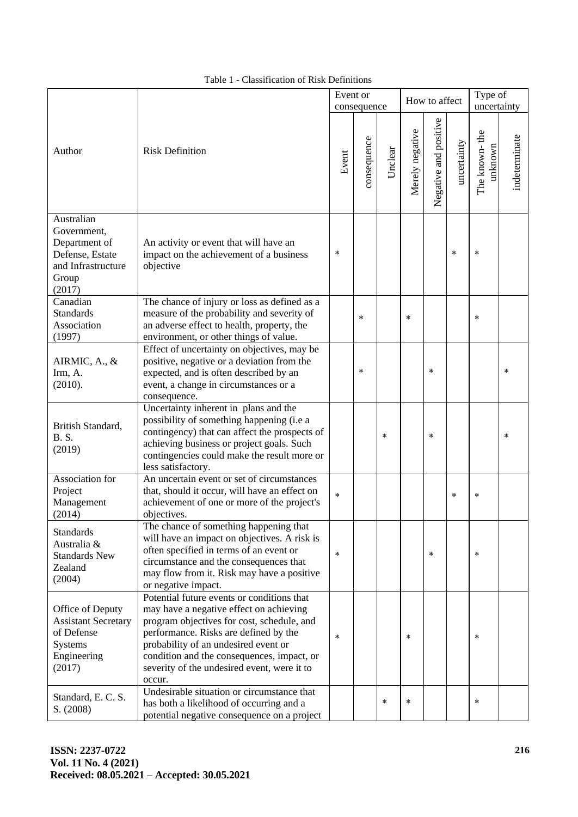|                                                                                                                                                                                                                                     |                                                                                                                                                                                                                                                                                                                             | Event or | consequence |         | How to affect   |                       |             | Type of<br>uncertainty   |               |
|-------------------------------------------------------------------------------------------------------------------------------------------------------------------------------------------------------------------------------------|-----------------------------------------------------------------------------------------------------------------------------------------------------------------------------------------------------------------------------------------------------------------------------------------------------------------------------|----------|-------------|---------|-----------------|-----------------------|-------------|--------------------------|---------------|
| Author                                                                                                                                                                                                                              | <b>Risk Definition</b>                                                                                                                                                                                                                                                                                                      | Event    | consequence | Unclear | Merely negative | Negative and positive | uncertainty | The known-the<br>unknown | indeterminate |
| Australian<br>Government,<br>Department of<br>Defense, Estate<br>and Infrastructure<br>Group<br>(2017)                                                                                                                              | An activity or event that will have an<br>impact on the achievement of a business<br>objective                                                                                                                                                                                                                              | $\ast$   |             |         |                 |                       | $\ast$      | $\ast$                   |               |
| Canadian<br><b>Standards</b><br>Association<br>(1997)                                                                                                                                                                               | The chance of injury or loss as defined as a<br>measure of the probability and severity of<br>$\ast$<br>an adverse effect to health, property, the<br>environment, or other things of value.                                                                                                                                |          |             | $\ast$  |                 |                       | $\ast$      |                          |               |
| Effect of uncertainty on objectives, may be<br>AIRMIC, A., &<br>positive, negative or a deviation from the<br>Irm, A.<br>expected, and is often described by an<br>(2010).<br>event, a change in circumstances or a<br>consequence. |                                                                                                                                                                                                                                                                                                                             |          | $\ast$      |         |                 | $\ast$                |             |                          | *             |
| British Standard,<br><b>B.S.</b><br>(2019)                                                                                                                                                                                          | Uncertainty inherent in plans and the<br>possibility of something happening (i.e a<br>contingency) that can affect the prospects of<br>achieving business or project goals. Such<br>contingencies could make the result more or<br>less satisfactory.                                                                       |          |             | $\ast$  |                 | $\ast$                |             |                          | $\ast$        |
| An uncertain event or set of circumstances<br>Association for<br>Project<br>that, should it occur, will have an effect on<br>Management<br>achievement of one or more of the project's<br>(2014)<br>objectives.                     |                                                                                                                                                                                                                                                                                                                             | $\ast$   |             |         |                 |                       | $\ast$      | $\ast$                   |               |
| <b>Standards</b><br>Australia &<br><b>Standards New</b><br>Zealand<br>(2004)                                                                                                                                                        | The chance of something happening that<br>will have an impact on objectives. A risk is<br>often specified in terms of an event or<br>circumstance and the consequences that<br>may flow from it. Risk may have a positive<br>or negative impact.                                                                            | $\ast$   |             |         |                 | $\ast$                |             | *                        |               |
| Office of Deputy<br><b>Assistant Secretary</b><br>of Defense<br><b>Systems</b><br>Engineering<br>(2017)                                                                                                                             | Potential future events or conditions that<br>may have a negative effect on achieving<br>program objectives for cost, schedule, and<br>performance. Risks are defined by the<br>probability of an undesired event or<br>condition and the consequences, impact, or<br>severity of the undesired event, were it to<br>occur. | *        |             |         | $\ast$          |                       |             | $\ast$                   |               |
| Standard, E.C.S.<br>S. (2008)                                                                                                                                                                                                       | Undesirable situation or circumstance that<br>has both a likelihood of occurring and a<br>potential negative consequence on a project                                                                                                                                                                                       |          |             | $\ast$  | $\ast$          |                       |             | $\ast$                   |               |

Table 1 - Classification of Risk Definitions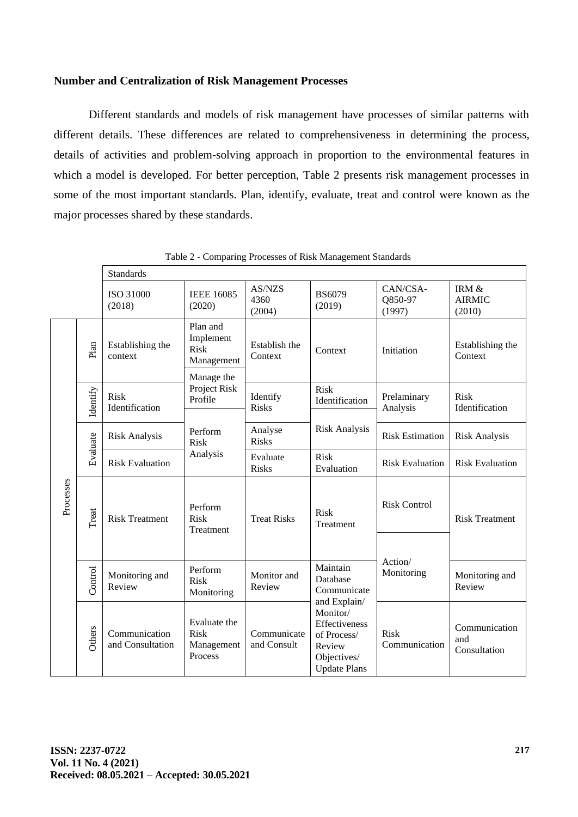### **Number and Centralization of Risk Management Processes**

Different standards and models of risk management have processes of similar patterns with different details. These differences are related to comprehensiveness in determining the process, details of activities and problem-solving approach in proportion to the environmental features in which a model is developed. For better perception, Table 2 presents risk management processes in some of the most important standards. Plan, identify, evaluate, treat and control were known as the major processes shared by these standards.

|                                                     |          | <b>Standards</b>                  |                                                      |                            |                                                                                          |                               |                                      |  |  |  |
|-----------------------------------------------------|----------|-----------------------------------|------------------------------------------------------|----------------------------|------------------------------------------------------------------------------------------|-------------------------------|--------------------------------------|--|--|--|
|                                                     |          | ISO 31000<br>(2018)               | <b>IEEE 16085</b><br>(2020)                          | AS/NZS<br>4360<br>(2004)   | <b>BS6079</b><br>(2019)                                                                  | CAN/CSA-<br>Q850-97<br>(1997) | IRM $\&$<br><b>AIRMIC</b><br>(2010)  |  |  |  |
|                                                     | Plan     | Establishing the<br>context       | Plan and<br>Implement<br>Risk<br>Management          | Establish the<br>Context   | Context                                                                                  | Initiation                    | Establishing the<br>Context          |  |  |  |
|                                                     | Identify | <b>Risk</b><br>Identification     | Manage the<br>Project Risk<br>Profile                | Identify<br><b>Risks</b>   | <b>Risk</b><br>Identification                                                            | Prelaminary<br>Analysis       | Risk<br>Identification               |  |  |  |
|                                                     |          | <b>Risk Analysis</b>              | Perform<br><b>Risk</b>                               | Analyse<br><b>Risks</b>    | <b>Risk Analysis</b>                                                                     | <b>Risk Estimation</b>        | <b>Risk Analysis</b>                 |  |  |  |
| Evaluate<br>Processes<br>Treat<br>Control<br>Others |          | <b>Risk Evaluation</b>            | Analysis                                             | Evaluate<br><b>Risks</b>   | Risk<br>Evaluation                                                                       | <b>Risk Evaluation</b>        | <b>Risk Evaluation</b>               |  |  |  |
|                                                     |          | <b>Risk Treatment</b>             | Perform<br><b>Risk</b><br>Treatment                  | <b>Treat Risks</b>         | <b>Risk</b><br>Treatment                                                                 | <b>Risk Control</b>           | <b>Risk Treatment</b>                |  |  |  |
|                                                     |          |                                   |                                                      |                            |                                                                                          | Action/                       |                                      |  |  |  |
|                                                     |          | Monitoring and<br>Review          | Perform<br><b>Risk</b><br>Monitoring                 | Monitor and<br>Review      | Maintain<br>Database<br>Communicate<br>and Explain/                                      | Monitoring                    | Monitoring and<br>Review             |  |  |  |
|                                                     |          | Communication<br>and Consultation | Evaluate the<br><b>Risk</b><br>Management<br>Process | Communicate<br>and Consult | Monitor/<br>Effectiveness<br>of Process/<br>Review<br>Objectives/<br><b>Update Plans</b> | <b>Risk</b><br>Communication  | Communication<br>and<br>Consultation |  |  |  |

Table 2 - Comparing Processes of Risk Management Standards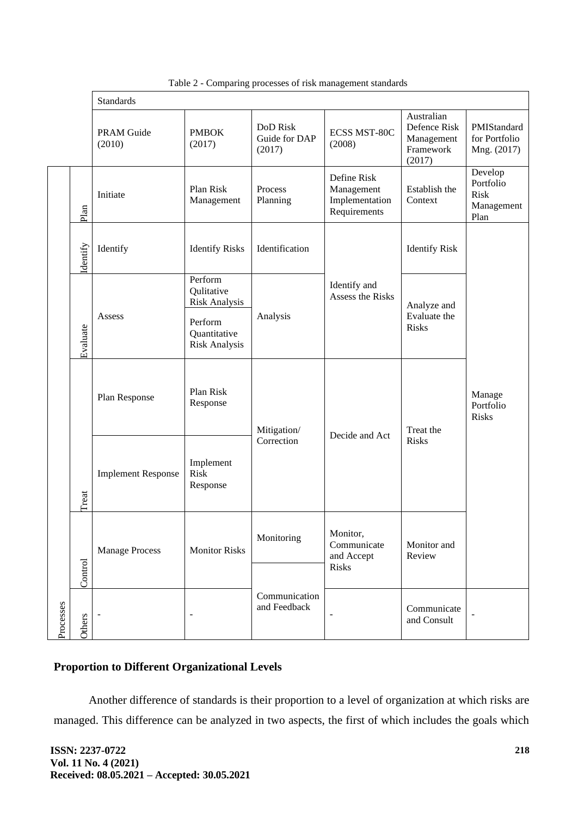|           |          | <b>Standards</b>                       |                                                                                           |                                            |                                                             |                                                                 |                                                           |  |  |
|-----------|----------|----------------------------------------|-------------------------------------------------------------------------------------------|--------------------------------------------|-------------------------------------------------------------|-----------------------------------------------------------------|-----------------------------------------------------------|--|--|
|           |          | <b>PRAM Guide</b><br>(2010)            | <b>PMBOK</b><br>(2017)                                                                    | <b>DoD</b> Risk<br>Guide for DAP<br>(2017) | <b>ECSS MST-80C</b><br>(2008)                               | Australian<br>Defence Risk<br>Management<br>Framework<br>(2017) | PMIStandard<br>for Portfolio<br>Mng. (2017)               |  |  |
|           | Plan     | Initiate                               | Plan Risk<br>Management                                                                   | Process<br>Planning                        | Define Risk<br>Management<br>Implementation<br>Requirements | Establish the<br>Context                                        | Develop<br>Portfolio<br><b>Risk</b><br>Management<br>Plan |  |  |
|           | Identify | Identify                               | <b>Identify Risks</b>                                                                     | Identification                             |                                                             | <b>Identify Risk</b>                                            |                                                           |  |  |
|           | Evaluate | Assess                                 | Perform<br>Qulitative<br>Risk Analysis<br>Perform<br>Quantitative<br><b>Risk Analysis</b> | Analysis                                   | Identify and<br>Assess the Risks                            | Analyze and<br>Evaluate the<br><b>Risks</b>                     |                                                           |  |  |
|           |          | Plan Risk<br>Plan Response<br>Response |                                                                                           | Mitigation/                                | Decide and Act                                              | Treat the                                                       | Manage<br>Portfolio<br><b>Risks</b>                       |  |  |
|           | Treat    | <b>Implement Response</b>              | Implement<br><b>Risk</b><br>Response                                                      | Correction                                 |                                                             | <b>Risks</b>                                                    |                                                           |  |  |
|           | Control  | <b>Manage Process</b>                  | <b>Monitor Risks</b>                                                                      | Monitoring                                 | Monitor,<br>Communicate<br>and Accept<br>Risks              | Monitor and<br>Review                                           |                                                           |  |  |
| Processes | Others   |                                        |                                                                                           | Communication<br>and Feedback              | $\overline{\phantom{0}}$                                    | Communicate<br>and Consult                                      |                                                           |  |  |

Table 2 - Comparing processes of risk management standards

# **Proportion to Different Organizational Levels**

Another difference of standards is their proportion to a level of organization at which risks are managed. This difference can be analyzed in two aspects, the first of which includes the goals which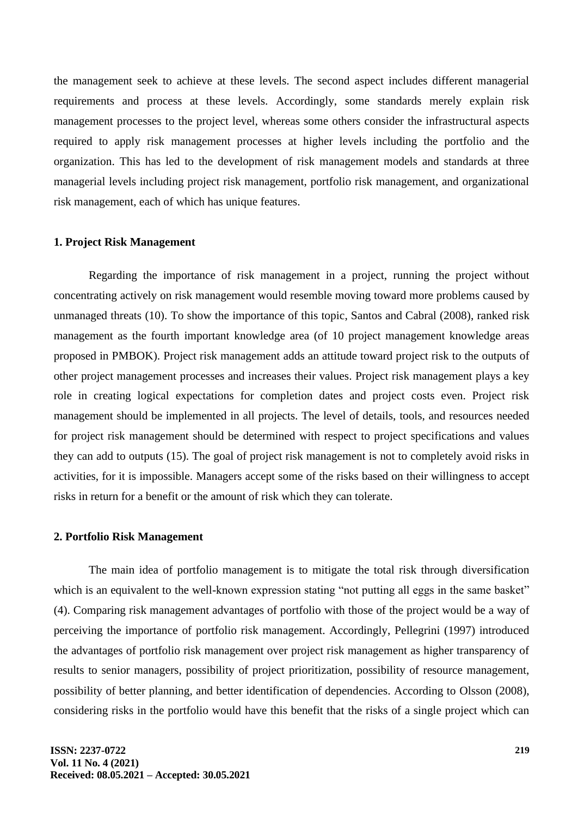the management seek to achieve at these levels. The second aspect includes different managerial requirements and process at these levels. Accordingly, some standards merely explain risk management processes to the project level, whereas some others consider the infrastructural aspects required to apply risk management processes at higher levels including the portfolio and the organization. This has led to the development of risk management models and standards at three managerial levels including project risk management, portfolio risk management, and organizational risk management, each of which has unique features.

#### **1. Project Risk Management**

Regarding the importance of risk management in a project, running the project without concentrating actively on risk management would resemble moving toward more problems caused by unmanaged threats (10). To show the importance of this topic, Santos and Cabral (2008), ranked risk management as the fourth important knowledge area (of 10 project management knowledge areas proposed in PMBOK). Project risk management adds an attitude toward project risk to the outputs of other project management processes and increases their values. Project risk management plays a key role in creating logical expectations for completion dates and project costs even. Project risk management should be implemented in all projects. The level of details, tools, and resources needed for project risk management should be determined with respect to project specifications and values they can add to outputs (15). The goal of project risk management is not to completely avoid risks in activities, for it is impossible. Managers accept some of the risks based on their willingness to accept risks in return for a benefit or the amount of risk which they can tolerate.

#### **2. Portfolio Risk Management**

The main idea of portfolio management is to mitigate the total risk through diversification which is an equivalent to the well-known expression stating "not putting all eggs in the same basket" (4). Comparing risk management advantages of portfolio with those of the project would be a way of perceiving the importance of portfolio risk management. Accordingly, Pellegrini (1997) introduced the advantages of portfolio risk management over project risk management as higher transparency of results to senior managers, possibility of project prioritization, possibility of resource management, possibility of better planning, and better identification of dependencies. According to Olsson (2008), considering risks in the portfolio would have this benefit that the risks of a single project which can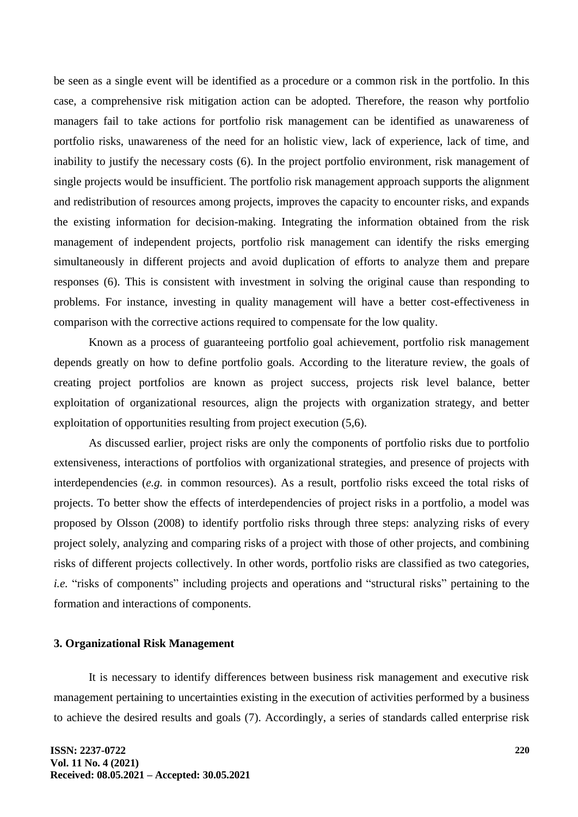be seen as a single event will be identified as a procedure or a common risk in the portfolio. In this case, a comprehensive risk mitigation action can be adopted. Therefore, the reason why portfolio managers fail to take actions for portfolio risk management can be identified as unawareness of portfolio risks, unawareness of the need for an holistic view, lack of experience, lack of time, and inability to justify the necessary costs (6). In the project portfolio environment, risk management of single projects would be insufficient. The portfolio risk management approach supports the alignment and redistribution of resources among projects, improves the capacity to encounter risks, and expands the existing information for decision-making. Integrating the information obtained from the risk management of independent projects, portfolio risk management can identify the risks emerging simultaneously in different projects and avoid duplication of efforts to analyze them and prepare responses (6). This is consistent with investment in solving the original cause than responding to problems. For instance, investing in quality management will have a better cost-effectiveness in comparison with the corrective actions required to compensate for the low quality.

Known as a process of guaranteeing portfolio goal achievement, portfolio risk management depends greatly on how to define portfolio goals. According to the literature review, the goals of creating project portfolios are known as project success, projects risk level balance, better exploitation of organizational resources, align the projects with organization strategy, and better exploitation of opportunities resulting from project execution (5,6).

As discussed earlier, project risks are only the components of portfolio risks due to portfolio extensiveness, interactions of portfolios with organizational strategies, and presence of projects with interdependencies (*e.g.* in common resources). As a result, portfolio risks exceed the total risks of projects. To better show the effects of interdependencies of project risks in a portfolio, a model was proposed by Olsson (2008) to identify portfolio risks through three steps: analyzing risks of every project solely, analyzing and comparing risks of a project with those of other projects, and combining risks of different projects collectively. In other words, portfolio risks are classified as two categories, *i.e.* "risks of components" including projects and operations and "structural risks" pertaining to the formation and interactions of components.

## **3. Organizational Risk Management**

It is necessary to identify differences between business risk management and executive risk management pertaining to uncertainties existing in the execution of activities performed by a business to achieve the desired results and goals (7). Accordingly, a series of standards called enterprise risk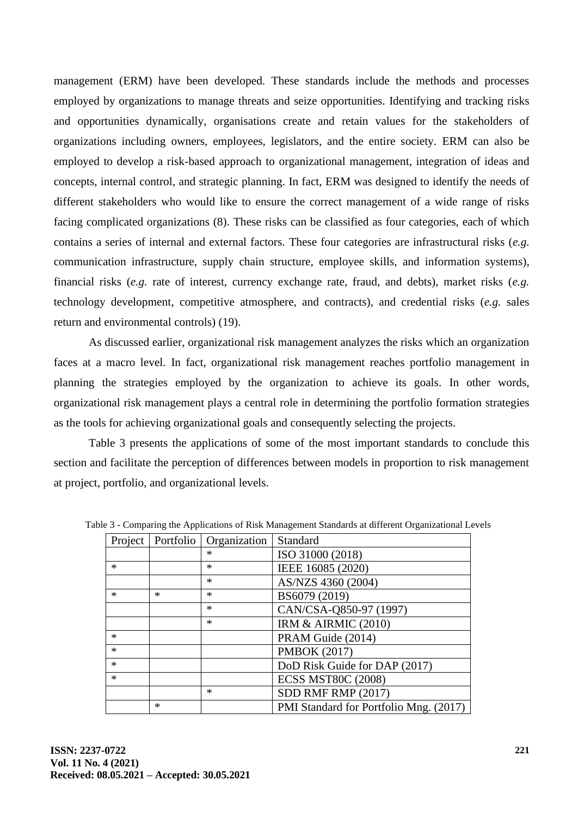management (ERM) have been developed. These standards include the methods and processes employed by organizations to manage threats and seize opportunities. Identifying and tracking risks and opportunities dynamically, organisations create and retain values for the stakeholders of organizations including owners, employees, legislators, and the entire society. ERM can also be employed to develop a risk-based approach to organizational management, integration of ideas and concepts, internal control, and strategic planning. In fact, ERM was designed to identify the needs of different stakeholders who would like to ensure the correct management of a wide range of risks facing complicated organizations (8). These risks can be classified as four categories, each of which contains a series of internal and external factors. These four categories are infrastructural risks (*e.g.* communication infrastructure, supply chain structure, employee skills, and information systems), financial risks (*e.g.* rate of interest, currency exchange rate, fraud, and debts), market risks (*e.g.*  technology development, competitive atmosphere, and contracts), and credential risks (*e.g.* sales return and environmental controls) (19).

As discussed earlier, organizational risk management analyzes the risks which an organization faces at a macro level. In fact, organizational risk management reaches portfolio management in planning the strategies employed by the organization to achieve its goals. In other words, organizational risk management plays a central role in determining the portfolio formation strategies as the tools for achieving organizational goals and consequently selecting the projects.

Table 3 presents the applications of some of the most important standards to conclude this section and facilitate the perception of differences between models in proportion to risk management at project, portfolio, and organizational levels.

|        |        | Project   Portfolio   Organization | Standard                               |
|--------|--------|------------------------------------|----------------------------------------|
|        |        | $\ast$                             | ISO 31000 (2018)                       |
| $\ast$ |        | $\ast$                             | IEEE 16085 (2020)                      |
|        |        | $\ast$                             | AS/NZS 4360 (2004)                     |
| $\ast$ | $\ast$ | $\ast$                             | BS6079 (2019)                          |
|        |        | $\ast$                             | CAN/CSA-Q850-97 (1997)                 |
|        |        | $\ast$                             | <b>IRM &amp; AIRMIC (2010)</b>         |
| *      |        |                                    | PRAM Guide (2014)                      |
| $\ast$ |        |                                    | <b>PMBOK (2017)</b>                    |
| *      |        |                                    | DoD Risk Guide for DAP (2017)          |
| *      |        |                                    | <b>ECSS MST80C (2008)</b>              |
|        |        | $\ast$                             | SDD RMF RMP (2017)                     |
|        | $\ast$ |                                    | PMI Standard for Portfolio Mng. (2017) |

Table 3 - Comparing the Applications of Risk Management Standards at different Organizational Levels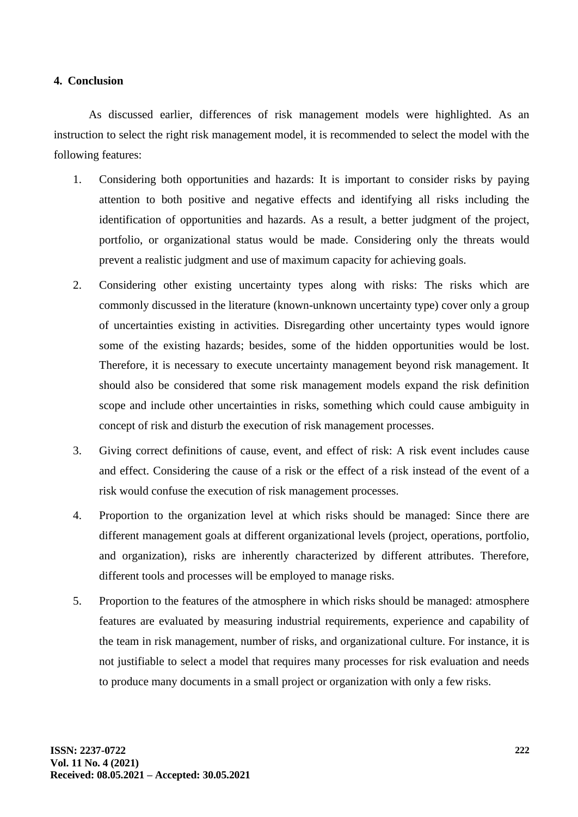## **4. Conclusion**

As discussed earlier, differences of risk management models were highlighted. As an instruction to select the right risk management model, it is recommended to select the model with the following features:

- 1. Considering both opportunities and hazards: It is important to consider risks by paying attention to both positive and negative effects and identifying all risks including the identification of opportunities and hazards. As a result, a better judgment of the project, portfolio, or organizational status would be made. Considering only the threats would prevent a realistic judgment and use of maximum capacity for achieving goals.
- 2. Considering other existing uncertainty types along with risks: The risks which are commonly discussed in the literature (known-unknown uncertainty type) cover only a group of uncertainties existing in activities. Disregarding other uncertainty types would ignore some of the existing hazards; besides, some of the hidden opportunities would be lost. Therefore, it is necessary to execute uncertainty management beyond risk management. It should also be considered that some risk management models expand the risk definition scope and include other uncertainties in risks, something which could cause ambiguity in concept of risk and disturb the execution of risk management processes.
- 3. Giving correct definitions of cause, event, and effect of risk: A risk event includes cause and effect. Considering the cause of a risk or the effect of a risk instead of the event of a risk would confuse the execution of risk management processes.
- 4. Proportion to the organization level at which risks should be managed: Since there are different management goals at different organizational levels (project, operations, portfolio, and organization), risks are inherently characterized by different attributes. Therefore, different tools and processes will be employed to manage risks.
- 5. Proportion to the features of the atmosphere in which risks should be managed: atmosphere features are evaluated by measuring industrial requirements, experience and capability of the team in risk management, number of risks, and organizational culture. For instance, it is not justifiable to select a model that requires many processes for risk evaluation and needs to produce many documents in a small project or organization with only a few risks.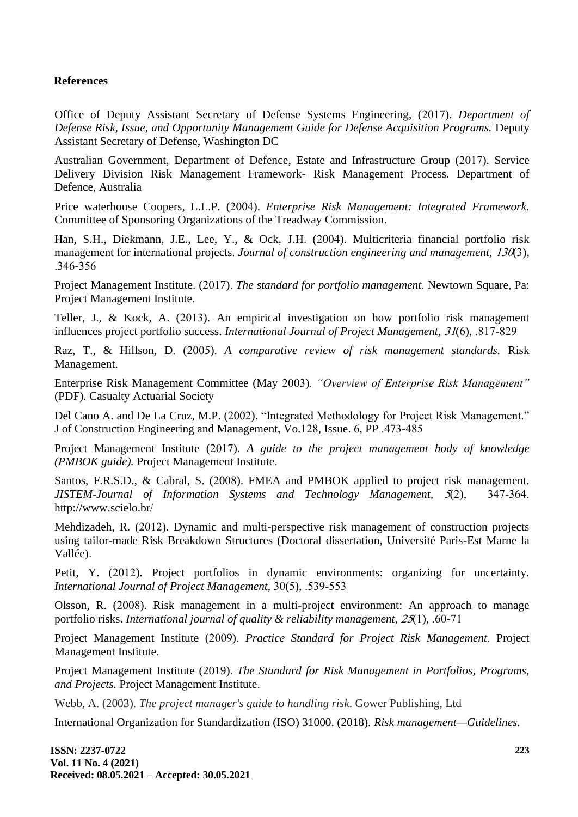## **References**

Office of Deputy Assistant Secretary of Defense Systems Engineering, (2017). *Department of Defense Risk, Issue, and Opportunity Management Guide for Defense Acquisition Programs.* Deputy Assistant Secretary of Defense, Washington DC

Australian Government, Department of Defence, Estate and Infrastructure Group (2017). Service Delivery Division Risk Management Framework- Risk Management Process. Department of Defence, Australia

Price waterhouse Coopers, L.L.P. (2004). *Enterprise Risk Management: Integrated Framework.* Committee of Sponsoring Organizations of the Treadway Commission.

Han, S.H., Diekmann, J.E., Lee, Y., & Ock, J.H. (2004). Multicriteria financial portfolio risk management for international projects. *Journal of construction engineering and management, 130(3)*, .346-356

Project Management Institute. (2017). *The standard for portfolio management.* Newtown Square, Pa: Project Management Institute.

Teller, J., & Kock, A. (2013). An empirical investigation on how portfolio risk management influences project portfolio success. *International Journal of Project Management,* 31(6), .817-829

Raz, T., & Hillson, D. (2005). *A comparative review of risk management standards.* Risk Management.

Enterprise Risk Management Committee (May 2003)*. "Overview of Enterprise Risk Management"* (PDF). Casualty Actuarial Society

Del Cano A. and De La Cruz, M.P. (2002). "Integrated Methodology for Project Risk Management." J of Construction Engineering and Management, Vo.128, Issue. 6, PP .473-485

Project Management Institute (2017). *A guide to the project management body of knowledge (PMBOK guide).* Project Management Institute.

Santos, F.R.S.D., & Cabral, S. (2008). FMEA and PMBOK applied to project risk management. *JISTEM-Journal of Information Systems and Technology Management,* 5(2), 347-364. http://www.scielo.br/

Mehdizadeh, R. (2012). Dynamic and multi-perspective risk management of construction projects using tailor-made Risk Breakdown Structures (Doctoral dissertation, Université Paris-Est Marne la Vallée).

Petit, Y. (2012). Project portfolios in dynamic environments: organizing for uncertainty. *International Journal of Project Management,* 30(5), .539-553

Olsson, R. (2008). Risk management in a multi-project environment: An approach to manage portfolio risks. *International journal of quality & reliability management,* 25(1), .60-71

Project Management Institute (2009). *Practice Standard for Project Risk Management.* Project Management Institute .

Project Management Institute (2019). *The Standard for Risk Management in Portfolios, Programs, and Projects.* Project Management Institute.

Webb, A. (2003). *The project manager's guide to handling risk*. Gower Publishing, Ltd

International Organization for Standardization (ISO) 31000. (2018). *Risk management—Guidelines.*